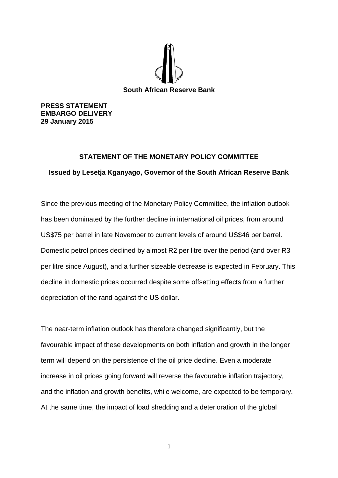

**PRESS STATEMENT EMBARGO DELIVERY 29 January 2015**

## **STATEMENT OF THE MONETARY POLICY COMMITTEE**

**Issued by Lesetja Kganyago, Governor of the South African Reserve Bank**

Since the previous meeting of the Monetary Policy Committee, the inflation outlook has been dominated by the further decline in international oil prices, from around US\$75 per barrel in late November to current levels of around US\$46 per barrel. Domestic petrol prices declined by almost R2 per litre over the period (and over R3 per litre since August), and a further sizeable decrease is expected in February. This decline in domestic prices occurred despite some offsetting effects from a further depreciation of the rand against the US dollar.

The near-term inflation outlook has therefore changed significantly, but the favourable impact of these developments on both inflation and growth in the longer term will depend on the persistence of the oil price decline. Even a moderate increase in oil prices going forward will reverse the favourable inflation trajectory, and the inflation and growth benefits, while welcome, are expected to be temporary. At the same time, the impact of load shedding and a deterioration of the global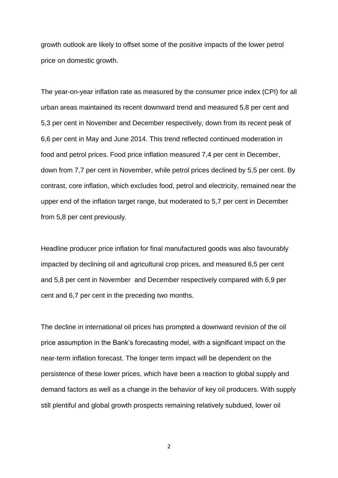growth outlook are likely to offset some of the positive impacts of the lower petrol price on domestic growth.

The year-on-year inflation rate as measured by the consumer price index (CPI) for all urban areas maintained its recent downward trend and measured 5,8 per cent and 5,3 per cent in November and December respectively, down from its recent peak of 6,6 per cent in May and June 2014. This trend reflected continued moderation in food and petrol prices. Food price inflation measured 7,4 per cent in December, down from 7,7 per cent in November, while petrol prices declined by 5,5 per cent. By contrast, core inflation, which excludes food, petrol and electricity, remained near the upper end of the inflation target range, but moderated to 5,7 per cent in December from 5,8 per cent previously.

Headline producer price inflation for final manufactured goods was also favourably impacted by declining oil and agricultural crop prices, and measured 6,5 per cent and 5,8 per cent in November and December respectively compared with 6,9 per cent and 6,7 per cent in the preceding two months.

The decline in international oil prices has prompted a downward revision of the oil price assumption in the Bank's forecasting model, with a significant impact on the near-term inflation forecast. The longer term impact will be dependent on the persistence of these lower prices, which have been a reaction to global supply and demand factors as well as a change in the behavior of key oil producers. With supply still plentiful and global growth prospects remaining relatively subdued, lower oil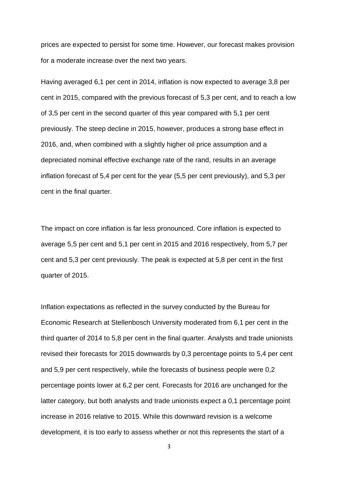prices are expected to persist for some time. However, our forecast makes provision for a moderate increase over the next two years.

Having averaged 6,1 per cent in 2014, inflation is now expected to average 3,8 per cent in 2015, compared with the previous forecast of 5,3 per cent, and to reach a low of 3,5 per cent in the second quarter of this year compared with 5,1 per cent previously. The steep decline in 2015, however, produces a strong base effect in 2016, and, when combined with a slightly higher oil price assumption and a depreciated nominal effective exchange rate of the rand, results in an average inflation forecast of 5,4 per cent for the year (5,5 per cent previously), and 5,3 per cent in the final quarter.

The impact on core inflation is far less pronounced. Core inflation is expected to average 5,5 per cent and 5,1 per cent in 2015 and 2016 respectively, from 5,7 per cent and 5,3 per cent previously. The peak is expected at 5,8 per cent in the first quarter of 2015.

Inflation expectations as reflected in the survey conducted by the Bureau for Economic Research at Stellenbosch University moderated from 6,1 per cent in the third quarter of 2014 to 5,8 per cent in the final quarter. Analysts and trade unionists revised their forecasts for 2015 downwards by 0,3 percentage points to 5,4 per cent and 5,9 per cent respectively, while the forecasts of business people were 0,2 percentage points lower at 6,2 per cent. Forecasts for 2016 are unchanged for the latter category, but both analysts and trade unionists expect a 0,1 percentage point increase in 2016 relative to 2015. While this downward revision is a welcome development, it is too early to assess whether or not this represents the start of a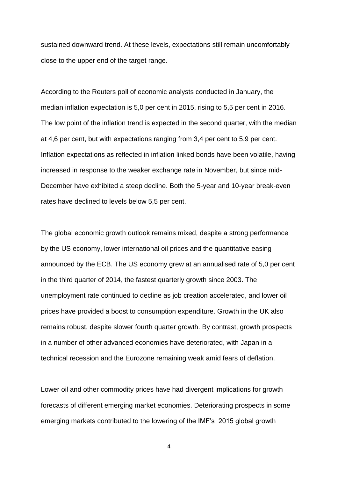sustained downward trend. At these levels, expectations still remain uncomfortably close to the upper end of the target range.

According to the Reuters poll of economic analysts conducted in January, the median inflation expectation is 5,0 per cent in 2015, rising to 5,5 per cent in 2016. The low point of the inflation trend is expected in the second quarter, with the median at 4,6 per cent, but with expectations ranging from 3,4 per cent to 5,9 per cent. Inflation expectations as reflected in inflation linked bonds have been volatile, having increased in response to the weaker exchange rate in November, but since mid-December have exhibited a steep decline. Both the 5-year and 10-year break-even rates have declined to levels below 5,5 per cent.

The global economic growth outlook remains mixed, despite a strong performance by the US economy, lower international oil prices and the quantitative easing announced by the ECB. The US economy grew at an annualised rate of 5,0 per cent in the third quarter of 2014, the fastest quarterly growth since 2003. The unemployment rate continued to decline as job creation accelerated, and lower oil prices have provided a boost to consumption expenditure. Growth in the UK also remains robust, despite slower fourth quarter growth. By contrast, growth prospects in a number of other advanced economies have deteriorated, with Japan in a technical recession and the Eurozone remaining weak amid fears of deflation.

Lower oil and other commodity prices have had divergent implications for growth forecasts of different emerging market economies. Deteriorating prospects in some emerging markets contributed to the lowering of the IMF's 2015 global growth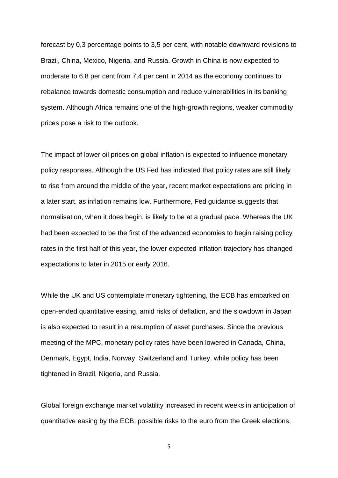forecast by 0,3 percentage points to 3,5 per cent, with notable downward revisions to Brazil, China, Mexico, Nigeria, and Russia. Growth in China is now expected to moderate to 6,8 per cent from 7,4 per cent in 2014 as the economy continues to rebalance towards domestic consumption and reduce vulnerabilities in its banking system. Although Africa remains one of the high-growth regions, weaker commodity prices pose a risk to the outlook.

The impact of lower oil prices on global inflation is expected to influence monetary policy responses. Although the US Fed has indicated that policy rates are still likely to rise from around the middle of the year, recent market expectations are pricing in a later start, as inflation remains low. Furthermore, Fed guidance suggests that normalisation, when it does begin, is likely to be at a gradual pace. Whereas the UK had been expected to be the first of the advanced economies to begin raising policy rates in the first half of this year, the lower expected inflation trajectory has changed expectations to later in 2015 or early 2016.

While the UK and US contemplate monetary tightening, the ECB has embarked on open-ended quantitative easing, amid risks of deflation, and the slowdown in Japan is also expected to result in a resumption of asset purchases. Since the previous meeting of the MPC, monetary policy rates have been lowered in Canada, China, Denmark, Egypt, India, Norway, Switzerland and Turkey, while policy has been tightened in Brazil, Nigeria, and Russia.

Global foreign exchange market volatility increased in recent weeks in anticipation of quantitative easing by the ECB; possible risks to the euro from the Greek elections;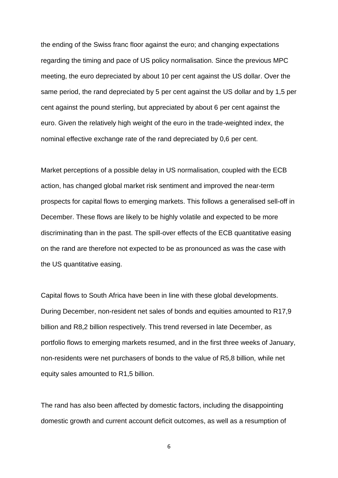the ending of the Swiss franc floor against the euro; and changing expectations regarding the timing and pace of US policy normalisation. Since the previous MPC meeting, the euro depreciated by about 10 per cent against the US dollar. Over the same period, the rand depreciated by 5 per cent against the US dollar and by 1,5 per cent against the pound sterling, but appreciated by about 6 per cent against the euro. Given the relatively high weight of the euro in the trade-weighted index, the nominal effective exchange rate of the rand depreciated by 0,6 per cent.

Market perceptions of a possible delay in US normalisation, coupled with the ECB action, has changed global market risk sentiment and improved the near-term prospects for capital flows to emerging markets. This follows a generalised sell-off in December. These flows are likely to be highly volatile and expected to be more discriminating than in the past. The spill-over effects of the ECB quantitative easing on the rand are therefore not expected to be as pronounced as was the case with the US quantitative easing.

Capital flows to South Africa have been in line with these global developments. During December, non-resident net sales of bonds and equities amounted to R17,9 billion and R8,2 billion respectively. This trend reversed in late December, as portfolio flows to emerging markets resumed, and in the first three weeks of January, non-residents were net purchasers of bonds to the value of R5,8 billion, while net equity sales amounted to R1,5 billion.

The rand has also been affected by domestic factors, including the disappointing domestic growth and current account deficit outcomes, as well as a resumption of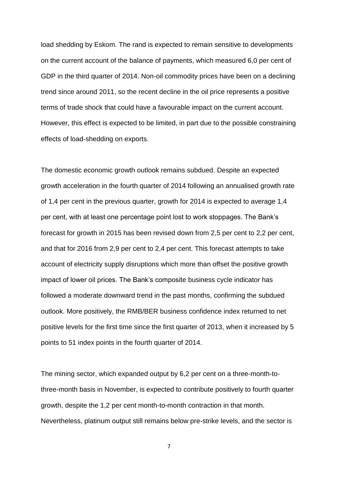load shedding by Eskom. The rand is expected to remain sensitive to developments on the current account of the balance of payments, which measured 6,0 per cent of GDP in the third quarter of 2014. Non-oil commodity prices have been on a declining trend since around 2011, so the recent decline in the oil price represents a positive terms of trade shock that could have a favourable impact on the current account. However, this effect is expected to be limited, in part due to the possible constraining effects of load-shedding on exports.

The domestic economic growth outlook remains subdued. Despite an expected growth acceleration in the fourth quarter of 2014 following an annualised growth rate of 1,4 per cent in the previous quarter, growth for 2014 is expected to average 1,4 per cent, with at least one percentage point lost to work stoppages. The Bank's forecast for growth in 2015 has been revised down from 2,5 per cent to 2,2 per cent, and that for 2016 from 2,9 per cent to 2,4 per cent. This forecast attempts to take account of electricity supply disruptions which more than offset the positive growth impact of lower oil prices. The Bank's composite business cycle indicator has followed a moderate downward trend in the past months, confirming the subdued outlook. More positively, the RMB/BER business confidence index returned to net positive levels for the first time since the first quarter of 2013, when it increased by 5 points to 51 index points in the fourth quarter of 2014.

The mining sector, which expanded output by 6,2 per cent on a three-month-tothree-month basis in November, is expected to contribute positively to fourth quarter growth, despite the 1,2 per cent month-to-month contraction in that month. Nevertheless, platinum output still remains below pre-strike levels, and the sector is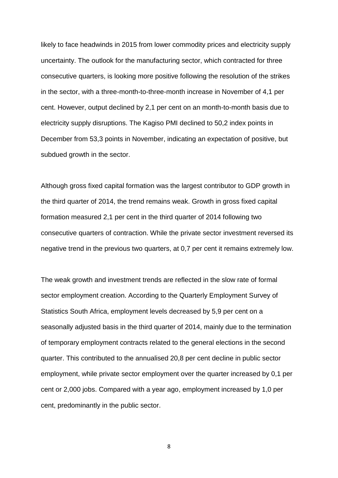likely to face headwinds in 2015 from lower commodity prices and electricity supply uncertainty. The outlook for the manufacturing sector, which contracted for three consecutive quarters, is looking more positive following the resolution of the strikes in the sector, with a three-month-to-three-month increase in November of 4,1 per cent. However, output declined by 2,1 per cent on an month-to-month basis due to electricity supply disruptions. The Kagiso PMI declined to 50,2 index points in December from 53,3 points in November, indicating an expectation of positive, but subdued growth in the sector.

Although gross fixed capital formation was the largest contributor to GDP growth in the third quarter of 2014, the trend remains weak. Growth in gross fixed capital formation measured 2,1 per cent in the third quarter of 2014 following two consecutive quarters of contraction. While the private sector investment reversed its negative trend in the previous two quarters, at 0,7 per cent it remains extremely low.

The weak growth and investment trends are reflected in the slow rate of formal sector employment creation. According to the Quarterly Employment Survey of Statistics South Africa, employment levels decreased by 5,9 per cent on a seasonally adjusted basis in the third quarter of 2014, mainly due to the termination of temporary employment contracts related to the general elections in the second quarter. This contributed to the annualised 20,8 per cent decline in public sector employment, while private sector employment over the quarter increased by 0,1 per cent or 2,000 jobs. Compared with a year ago, employment increased by 1,0 per cent, predominantly in the public sector.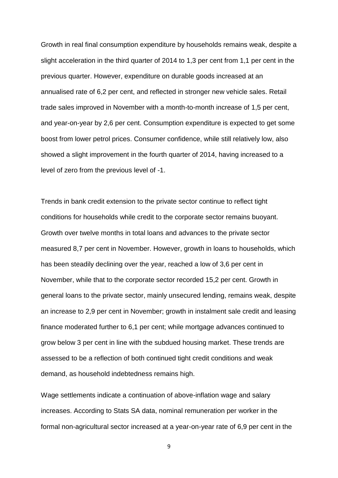Growth in real final consumption expenditure by households remains weak, despite a slight acceleration in the third quarter of 2014 to 1,3 per cent from 1,1 per cent in the previous quarter. However, expenditure on durable goods increased at an annualised rate of 6,2 per cent, and reflected in stronger new vehicle sales. Retail trade sales improved in November with a month-to-month increase of 1,5 per cent, and year-on-year by 2,6 per cent. Consumption expenditure is expected to get some boost from lower petrol prices. Consumer confidence, while still relatively low, also showed a slight improvement in the fourth quarter of 2014, having increased to a level of zero from the previous level of -1.

Trends in bank credit extension to the private sector continue to reflect tight conditions for households while credit to the corporate sector remains buoyant. Growth over twelve months in total loans and advances to the private sector measured 8,7 per cent in November. However, growth in loans to households, which has been steadily declining over the year, reached a low of 3,6 per cent in November, while that to the corporate sector recorded 15,2 per cent. Growth in general loans to the private sector, mainly unsecured lending, remains weak, despite an increase to 2,9 per cent in November; growth in instalment sale credit and leasing finance moderated further to 6,1 per cent; while mortgage advances continued to grow below 3 per cent in line with the subdued housing market. These trends are assessed to be a reflection of both continued tight credit conditions and weak demand, as household indebtedness remains high.

Wage settlements indicate a continuation of above-inflation wage and salary increases. According to Stats SA data, nominal remuneration per worker in the formal non-agricultural sector increased at a year-on-year rate of 6,9 per cent in the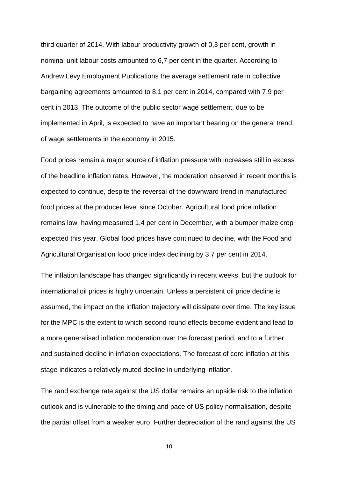third quarter of 2014. With labour productivity growth of 0,3 per cent, growth in nominal unit labour costs amounted to 6,7 per cent in the quarter. According to Andrew Levy Employment Publications the average settlement rate in collective bargaining agreements amounted to 8,1 per cent in 2014, compared with 7,9 per cent in 2013. The outcome of the public sector wage settlement, due to be implemented in April, is expected to have an important bearing on the general trend of wage settlements in the economy in 2015.

Food prices remain a major source of inflation pressure with increases still in excess of the headline inflation rates. However, the moderation observed in recent months is expected to continue, despite the reversal of the downward trend in manufactured food prices at the producer level since October. Agricultural food price inflation remains low, having measured 1,4 per cent in December, with a bumper maize crop expected this year. Global food prices have continued to decline, with the Food and Agricultural Organisation food price index declining by 3,7 per cent in 2014.

The inflation landscape has changed significantly in recent weeks, but the outlook for international oil prices is highly uncertain. Unless a persistent oil price decline is assumed, the impact on the inflation trajectory will dissipate over time. The key issue for the MPC is the extent to which second round effects become evident and lead to a more generalised inflation moderation over the forecast period, and to a further and sustained decline in inflation expectations. The forecast of core inflation at this stage indicates a relatively muted decline in underlying inflation.

The rand exchange rate against the US dollar remains an upside risk to the inflation outlook and is vulnerable to the timing and pace of US policy normalisation, despite the partial offset from a weaker euro. Further depreciation of the rand against the US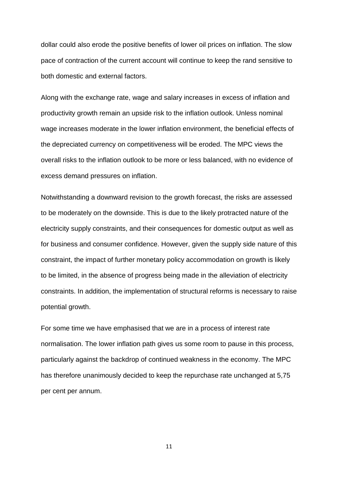dollar could also erode the positive benefits of lower oil prices on inflation. The slow pace of contraction of the current account will continue to keep the rand sensitive to both domestic and external factors.

Along with the exchange rate, wage and salary increases in excess of inflation and productivity growth remain an upside risk to the inflation outlook. Unless nominal wage increases moderate in the lower inflation environment, the beneficial effects of the depreciated currency on competitiveness will be eroded. The MPC views the overall risks to the inflation outlook to be more or less balanced, with no evidence of excess demand pressures on inflation.

Notwithstanding a downward revision to the growth forecast, the risks are assessed to be moderately on the downside. This is due to the likely protracted nature of the electricity supply constraints, and their consequences for domestic output as well as for business and consumer confidence. However, given the supply side nature of this constraint, the impact of further monetary policy accommodation on growth is likely to be limited, in the absence of progress being made in the alleviation of electricity constraints. In addition, the implementation of structural reforms is necessary to raise potential growth.

For some time we have emphasised that we are in a process of interest rate normalisation. The lower inflation path gives us some room to pause in this process, particularly against the backdrop of continued weakness in the economy. The MPC has therefore unanimously decided to keep the repurchase rate unchanged at 5,75 per cent per annum.